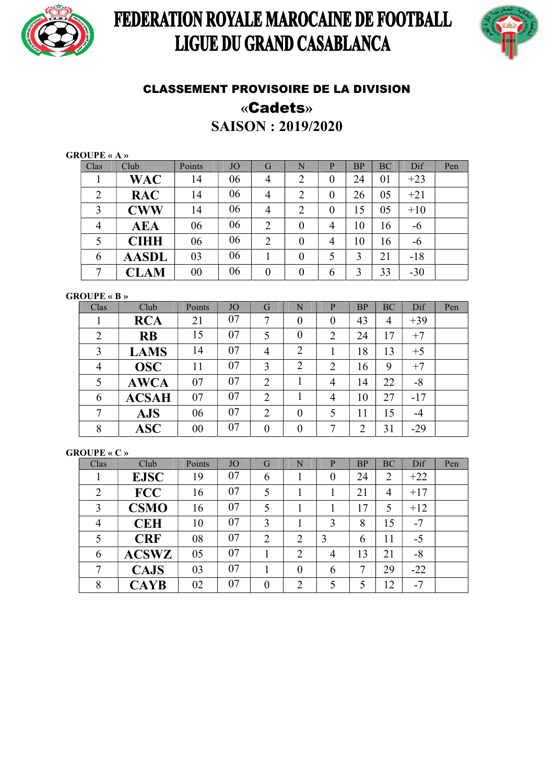

# FEDERATION ROYALE MAROCAINE DE FOOTBALL LIGUE DU GRAND CASABLANCA



## CLASSEMENT PROVISOIRE DE LA DIVISION «Cadets»

SAISON : 2019/2020

### GROUPE « A »

| Clas           | Club                                      | Points | <b>JO</b> | G                | N              | P              | BP | BC | Dif   | Pen |
|----------------|-------------------------------------------|--------|-----------|------------------|----------------|----------------|----|----|-------|-----|
|                | <b>WAC</b>                                | 14     | 06        | 4                | $\overline{2}$ | $\theta$       | 24 | 01 | $+23$ |     |
| 2              | <b>RAC</b>                                | 14     | 06        | $\overline{4}$   | $\overline{2}$ | $\theta$       | 26 | 05 | $+21$ |     |
| 3              | <b>CWW</b>                                | 14     | 06        | $\overline{4}$   | $\overline{2}$ | $\overline{0}$ | 15 | 05 | $+10$ |     |
| $\overline{4}$ | <b>AEA</b>                                | 06     | 06        | $\overline{2}$   | $\overline{0}$ | 4              | 10 | 16 | -6    |     |
| 5              | <b>CIHH</b>                               | 06     | 06        | $\overline{2}$   | 0              | 4              | 10 | 16 | -6    |     |
| 6              | <b>AASDL</b>                              | 03     | 06        |                  | $\overline{0}$ | 5              | 3  | 21 | $-18$ |     |
| 7              | $\mathop{\rm \mathbb{C}}\mathop{\rm LAM}$ | $00\,$ | 06        | $\boldsymbol{0}$ | $\overline{0}$ | 6              | 3  | 33 | $-30$ |     |

GROUPE « B »

| Clas           | Club         | Points | <b>JO</b> | G                | N                | P              | BP | BC     | Dif   | Pen |
|----------------|--------------|--------|-----------|------------------|------------------|----------------|----|--------|-------|-----|
| Ŧ.             | <b>RCA</b>   | 21     | 07        | 7                | $\overline{0}$   | 0              | 43 | 4      | $+39$ |     |
| $\overline{2}$ | <b>RB</b>    | 15     | 07        | 5                | $\boldsymbol{0}$ | $\overline{2}$ | 24 | $17\,$ | $+7$  |     |
| 3              | <b>LAMS</b>  | 14     | 07        | $\overline{4}$   | $\overline{2}$   |                | 18 | 13     | $+5$  |     |
| 4              | <b>OSC</b>   | 11     | 07        | 3                | $\overline{2}$   | $\overline{2}$ | 16 | 9      | $+7$  |     |
| 5              | <b>AWCA</b>  | 07     | 07        | $\overline{2}$   |                  | 4              | 14 | 22     | $-8$  |     |
| 6              | <b>ACSAH</b> | 07     | 07        | $\overline{2}$   |                  | $\overline{4}$ | 10 | 27     | $-17$ |     |
|                | <b>AJS</b>   | 06     | 07        | $\overline{2}$   | $\overline{0}$   | 5              | 11 | 15     | $-4$  |     |
| 8              | $\bf{ASC}$   | 00     | 07        | $\boldsymbol{0}$ | $\overline{0}$   | 7              | C  | 31     | $-29$ |     |

### GROUPE « C »

| Clas           | Club         | Points | <b>JO</b> | G                | N              | P              | <b>BP</b> | <b>BC</b>      | Dif   | Pen |
|----------------|--------------|--------|-----------|------------------|----------------|----------------|-----------|----------------|-------|-----|
|                | <b>EJSC</b>  | 19     | 07        | 6                |                | $\overline{0}$ | 24        | $\overline{2}$ | $+22$ |     |
| $\overline{2}$ | <b>FCC</b>   | 16     | 07        | 5                |                |                | 21        | $\overline{4}$ | $+17$ |     |
| 3              | <b>CSMO</b>  | 16     | 07        | 5                |                |                | 17        | 5              | $+12$ |     |
| 4              | <b>CEH</b>   | 10     | 07        | 3                |                | 3              | 8         | 15             | $-7$  |     |
| 5              | <b>CRF</b>   | 08     | 07        | $\overline{2}$   | $\overline{2}$ | 3              | 6         | 11             | $-5$  |     |
| 6              | <b>ACSWZ</b> | 05     | 07        |                  | $\overline{2}$ | 4              | 13        | 21             | $-8$  |     |
|                | <b>CAJS</b>  | 03     | 07        |                  | $\overline{0}$ | 6              | 7         | 29             | $-22$ |     |
| 8              | <b>CAYB</b>  | 02     | 07        | $\boldsymbol{0}$ | $\overline{2}$ |                | 5         | 12             | $-7$  |     |